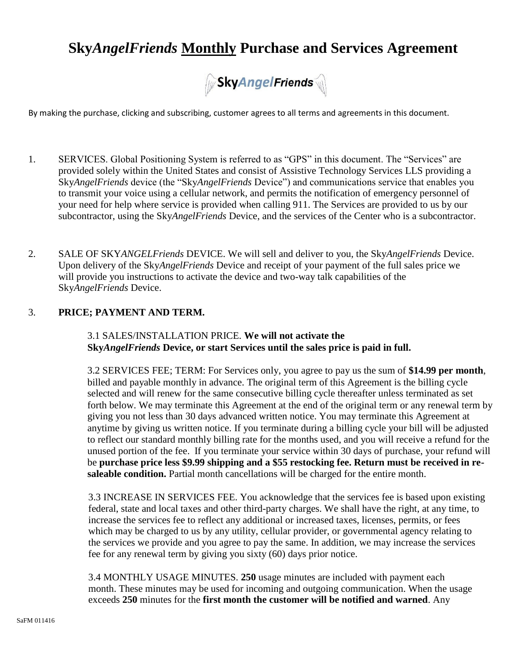# **Sky***AngelFriends* **Monthly Purchase and Services Agreement**



By making the purchase, clicking and subscribing, customer agrees to all terms and agreements in this document.

- 1. SERVICES. Global Positioning System is referred to as "GPS" in this document. The "Services" are provided solely within the United States and consist of Assistive Technology Services LLS providing a Sky*AngelFriends* device (the "Sky*AngelFriends* Device") and communications service that enables you to transmit your voice using a cellular network, and permits the notification of emergency personnel of your need for help where service is provided when calling 911. The Services are provided to us by our subcontractor, using the Sky*AngelFriends* Device, and the services of the Center who is a subcontractor.
- 2. SALE OF SKY*ANGELFriends* DEVICE. We will sell and deliver to you, the Sky*AngelFriends* Device. Upon delivery of the Sky*AngelFriends* Device and receipt of your payment of the full sales price we will provide you instructions to activate the device and two-way talk capabilities of the Sky*AngelFriends* Device.

### 3. **PRICE; PAYMENT AND TERM.**

3.1 SALES/INSTALLATION PRICE. **We will not activate the Sky***AngelFriends* **Device, or start Services until the sales price is paid in full.**

3.2 SERVICES FEE; TERM: For Services only, you agree to pay us the sum of **\$14.99 per month**, billed and payable monthly in advance. The original term of this Agreement is the billing cycle selected and will renew for the same consecutive billing cycle thereafter unless terminated as set forth below. We may terminate this Agreement at the end of the original term or any renewal term by giving you not less than 30 days advanced written notice. You may terminate this Agreement at anytime by giving us written notice. If you terminate during a billing cycle your bill will be adjusted to reflect our standard monthly billing rate for the months used, and you will receive a refund for the unused portion of the fee. If you terminate your service within 30 days of purchase, your refund will be **purchase price less \$9.99 shipping and a \$55 restocking fee. Return must be received in resaleable condition.** Partial month cancellations will be charged for the entire month.

3.3 INCREASE IN SERVICES FEE. You acknowledge that the services fee is based upon existing federal, state and local taxes and other third-party charges. We shall have the right, at any time, to increase the services fee to reflect any additional or increased taxes, licenses, permits, or fees which may be charged to us by any utility, cellular provider, or governmental agency relating to the services we provide and you agree to pay the same. In addition, we may increase the services fee for any renewal term by giving you sixty (60) days prior notice.

3.4 MONTHLY USAGE MINUTES. **250** usage minutes are included with payment each month. These minutes may be used for incoming and outgoing communication. When the usage exceeds **250** minutes for the **first month the customer will be notified and warned**. Any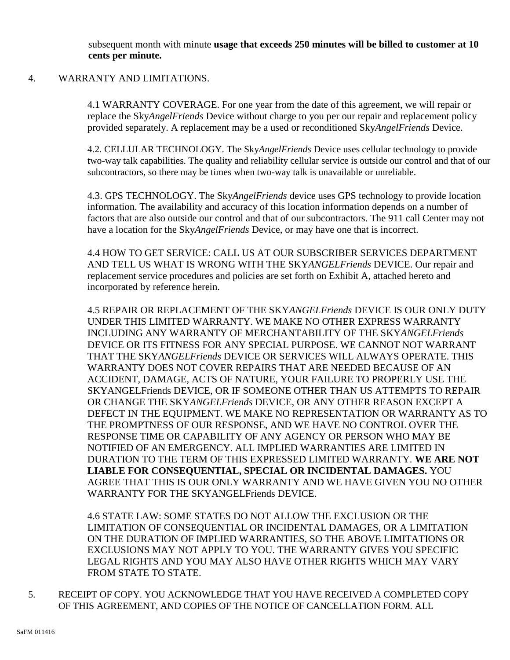subsequent month with minute **usage that exceeds 250 minutes will be billed to customer at 10 cents per minute.**

#### 4. WARRANTY AND LIMITATIONS.

4.1 WARRANTY COVERAGE. For one year from the date of this agreement, we will repair or replace the Sky*AngelFriends* Device without charge to you per our repair and replacement policy provided separately. A replacement may be a used or reconditioned Sky*AngelFriends* Device.

4.2. CELLULAR TECHNOLOGY. The Sky*AngelFriends* Device uses cellular technology to provide two-way talk capabilities. The quality and reliability cellular service is outside our control and that of our subcontractors, so there may be times when two-way talk is unavailable or unreliable.

4.3. GPS TECHNOLOGY. The Sky*AngelFriends* device uses GPS technology to provide location information. The availability and accuracy of this location information depends on a number of factors that are also outside our control and that of our subcontractors. The 911 call Center may not have a location for the Sky*AngelFriends* Device, or may have one that is incorrect.

4.4 HOW TO GET SERVICE: CALL US AT OUR SUBSCRIBER SERVICES DEPARTMENT AND TELL US WHAT IS WRONG WITH THE SKY*ANGELFriends* DEVICE. Our repair and replacement service procedures and policies are set forth on Exhibit A, attached hereto and incorporated by reference herein.

4.5 REPAIR OR REPLACEMENT OF THE SKY*ANGELFriends* DEVICE IS OUR ONLY DUTY UNDER THIS LIMITED WARRANTY. WE MAKE NO OTHER EXPRESS WARRANTY INCLUDING ANY WARRANTY OF MERCHANTABILITY OF THE SKY*ANGELFriends* DEVICE OR ITS FITNESS FOR ANY SPECIAL PURPOSE. WE CANNOT NOT WARRANT THAT THE SKY*ANGELFriends* DEVICE OR SERVICES WILL ALWAYS OPERATE. THIS WARRANTY DOES NOT COVER REPAIRS THAT ARE NEEDED BECAUSE OF AN ACCIDENT, DAMAGE, ACTS OF NATURE, YOUR FAILURE TO PROPERLY USE THE SKYANGELFriends DEVICE, OR IF SOMEONE OTHER THAN US ATTEMPTS TO REPAIR OR CHANGE THE SKY*ANGELFriends* DEVICE, OR ANY OTHER REASON EXCEPT A DEFECT IN THE EQUIPMENT. WE MAKE NO REPRESENTATION OR WARRANTY AS TO THE PROMPTNESS OF OUR RESPONSE, AND WE HAVE NO CONTROL OVER THE RESPONSE TIME OR CAPABILITY OF ANY AGENCY OR PERSON WHO MAY BE NOTIFIED OF AN EMERGENCY. ALL IMPLIED WARRANTIES ARE LIMITED IN DURATION TO THE TERM OF THIS EXPRESSED LIMITED WARRANTY. **WE ARE NOT LIABLE FOR CONSEQUENTIAL, SPECIAL OR INCIDENTAL DAMAGES.** YOU AGREE THAT THIS IS OUR ONLY WARRANTY AND WE HAVE GIVEN YOU NO OTHER WARRANTY FOR THE SKYANGELFriends DEVICE.

4.6 STATE LAW: SOME STATES DO NOT ALLOW THE EXCLUSION OR THE LIMITATION OF CONSEQUENTIAL OR INCIDENTAL DAMAGES, OR A LIMITATION ON THE DURATION OF IMPLIED WARRANTIES, SO THE ABOVE LIMITATIONS OR EXCLUSIONS MAY NOT APPLY TO YOU. THE WARRANTY GIVES YOU SPECIFIC LEGAL RIGHTS AND YOU MAY ALSO HAVE OTHER RIGHTS WHICH MAY VARY FROM STATE TO STATE.

5. RECEIPT OF COPY. YOU ACKNOWLEDGE THAT YOU HAVE RECEIVED A COMPLETED COPY OF THIS AGREEMENT, AND COPIES OF THE NOTICE OF CANCELLATION FORM. ALL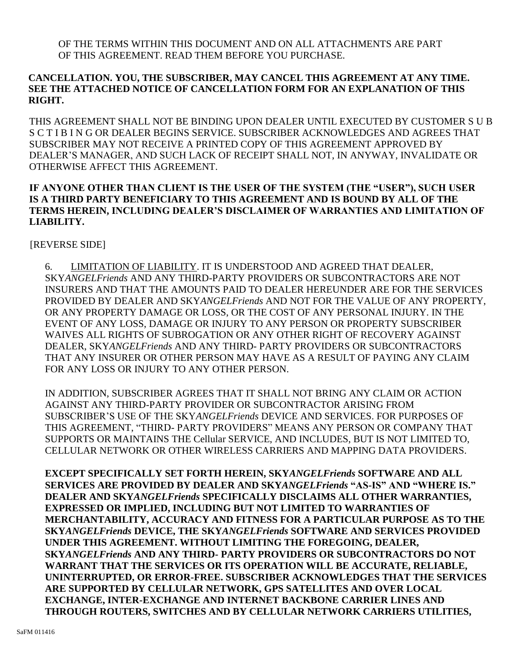OF THE TERMS WITHIN THIS DOCUMENT AND ON ALL ATTACHMENTS ARE PART OF THIS AGREEMENT. READ THEM BEFORE YOU PURCHASE.

# **CANCELLATION. YOU, THE SUBSCRIBER, MAY CANCEL THIS AGREEMENT AT ANY TIME. SEE THE ATTACHED NOTICE OF CANCELLATION FORM FOR AN EXPLANATION OF THIS RIGHT.**

THIS AGREEMENT SHALL NOT BE BINDING UPON DEALER UNTIL EXECUTED BY CUSTOMER S U B S C T I B I N G OR DEALER BEGINS SERVICE. SUBSCRIBER ACKNOWLEDGES AND AGREES THAT SUBSCRIBER MAY NOT RECEIVE A PRINTED COPY OF THIS AGREEMENT APPROVED BY DEALER'S MANAGER, AND SUCH LACK OF RECEIPT SHALL NOT, IN ANYWAY, INVALIDATE OR OTHERWISE AFFECT THIS AGREEMENT.

# **IF ANYONE OTHER THAN CLIENT IS THE USER OF THE SYSTEM (THE "USER"), SUCH USER IS A THIRD PARTY BENEFICIARY TO THIS AGREEMENT AND IS BOUND BY ALL OF THE TERMS HEREIN, INCLUDING DEALER'S DISCLAIMER OF WARRANTIES AND LIMITATION OF LIABILITY.**

[REVERSE SIDE]

6. LIMITATION OF LIABILITY. IT IS UNDERSTOOD AND AGREED THAT DEALER, SKY*ANGELFriends* AND ANY THIRD-PARTY PROVIDERS OR SUBCONTRACTORS ARE NOT INSURERS AND THAT THE AMOUNTS PAID TO DEALER HEREUNDER ARE FOR THE SERVICES PROVIDED BY DEALER AND SKY*ANGELFriends* AND NOT FOR THE VALUE OF ANY PROPERTY, OR ANY PROPERTY DAMAGE OR LOSS, OR THE COST OF ANY PERSONAL INJURY. IN THE EVENT OF ANY LOSS, DAMAGE OR INJURY TO ANY PERSON OR PROPERTY SUBSCRIBER WAIVES ALL RIGHTS OF SUBROGATION OR ANY OTHER RIGHT OF RECOVERY AGAINST DEALER, SKY*ANGELFriends* AND ANY THIRD- PARTY PROVIDERS OR SUBCONTRACTORS THAT ANY INSURER OR OTHER PERSON MAY HAVE AS A RESULT OF PAYING ANY CLAIM FOR ANY LOSS OR INJURY TO ANY OTHER PERSON.

IN ADDITION, SUBSCRIBER AGREES THAT IT SHALL NOT BRING ANY CLAIM OR ACTION AGAINST ANY THIRD-PARTY PROVIDER OR SUBCONTRACTOR ARISING FROM SUBSCRIBER'S USE OF THE SKY*ANGELFriends* DEVICE AND SERVICES. FOR PURPOSES OF THIS AGREEMENT, "THIRD- PARTY PROVIDERS" MEANS ANY PERSON OR COMPANY THAT SUPPORTS OR MAINTAINS THE Cellular SERVICE, AND INCLUDES, BUT IS NOT LIMITED TO, CELLULAR NETWORK OR OTHER WIRELESS CARRIERS AND MAPPING DATA PROVIDERS.

**EXCEPT SPECIFICALLY SET FORTH HEREIN, SKY***ANGELFriends* **SOFTWARE AND ALL SERVICES ARE PROVIDED BY DEALER AND SKY***ANGELFriends* **"AS-IS" AND "WHERE IS." DEALER AND SKY***ANGELFriends* **SPECIFICALLY DISCLAIMS ALL OTHER WARRANTIES, EXPRESSED OR IMPLIED, INCLUDING BUT NOT LIMITED TO WARRANTIES OF MERCHANTABILITY, ACCURACY AND FITNESS FOR A PARTICULAR PURPOSE AS TO THE SKY***ANGELFriends* **DEVICE, THE SKY***ANGELFriends* **SOFTWARE AND SERVICES PROVIDED UNDER THIS AGREEMENT. WITHOUT LIMITING THE FOREGOING, DEALER, SKY***ANGELFriends* **AND ANY THIRD- PARTY PROVIDERS OR SUBCONTRACTORS DO NOT WARRANT THAT THE SERVICES OR ITS OPERATION WILL BE ACCURATE, RELIABLE, UNINTERRUPTED, OR ERROR-FREE. SUBSCRIBER ACKNOWLEDGES THAT THE SERVICES ARE SUPPORTED BY CELLULAR NETWORK, GPS SATELLITES AND OVER LOCAL EXCHANGE, INTER-EXCHANGE AND INTERNET BACKBONE CARRIER LINES AND THROUGH ROUTERS, SWITCHES AND BY CELLULAR NETWORK CARRIERS UTILITIES,**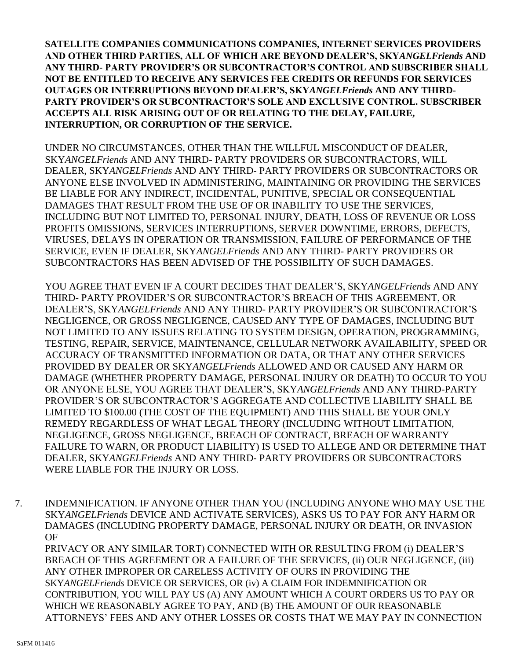**SATELLITE COMPANIES COMMUNICATIONS COMPANIES, INTERNET SERVICES PROVIDERS AND OTHER THIRD PARTIES, ALL OF WHICH ARE BEYOND DEALER'S, SKY***ANGELFriends* **AND ANY THIRD- PARTY PROVIDER'S OR SUBCONTRACTOR'S CONTROL AND SUBSCRIBER SHALL NOT BE ENTITLED TO RECEIVE ANY SERVICES FEE CREDITS OR REFUNDS FOR SERVICES OUTAGES OR INTERRUPTIONS BEYOND DEALER'S, SKY***ANGELFriends* **AND ANY THIRD-PARTY PROVIDER'S OR SUBCONTRACTOR'S SOLE AND EXCLUSIVE CONTROL. SUBSCRIBER ACCEPTS ALL RISK ARISING OUT OF OR RELATING TO THE DELAY, FAILURE, INTERRUPTION, OR CORRUPTION OF THE SERVICE.**

UNDER NO CIRCUMSTANCES, OTHER THAN THE WILLFUL MISCONDUCT OF DEALER, SKY*ANGELFriends* AND ANY THIRD- PARTY PROVIDERS OR SUBCONTRACTORS, WILL DEALER, SKY*ANGELFriends* AND ANY THIRD- PARTY PROVIDERS OR SUBCONTRACTORS OR ANYONE ELSE INVOLVED IN ADMINISTERING, MAINTAINING OR PROVIDING THE SERVICES BE LIABLE FOR ANY INDIRECT, INCIDENTAL, PUNITIVE, SPECIAL OR CONSEQUENTIAL DAMAGES THAT RESULT FROM THE USE OF OR INABILITY TO USE THE SERVICES, INCLUDING BUT NOT LIMITED TO, PERSONAL INJURY, DEATH, LOSS OF REVENUE OR LOSS PROFITS OMISSIONS, SERVICES INTERRUPTIONS, SERVER DOWNTIME, ERRORS, DEFECTS, VIRUSES, DELAYS IN OPERATION OR TRANSMISSION, FAILURE OF PERFORMANCE OF THE SERVICE, EVEN IF DEALER, SKY*ANGELFriends* AND ANY THIRD- PARTY PROVIDERS OR SUBCONTRACTORS HAS BEEN ADVISED OF THE POSSIBILITY OF SUCH DAMAGES.

YOU AGREE THAT EVEN IF A COURT DECIDES THAT DEALER'S, SKY*ANGELFriends* AND ANY THIRD- PARTY PROVIDER'S OR SUBCONTRACTOR'S BREACH OF THIS AGREEMENT, OR DEALER'S, SKY*ANGELFriends* AND ANY THIRD- PARTY PROVIDER'S OR SUBCONTRACTOR'S NEGLIGENCE, OR GROSS NEGLIGENCE, CAUSED ANY TYPE OF DAMAGES, INCLUDING BUT NOT LIMITED TO ANY ISSUES RELATING TO SYSTEM DESIGN, OPERATION, PROGRAMMING, TESTING, REPAIR, SERVICE, MAINTENANCE, CELLULAR NETWORK AVAILABILITY, SPEED OR ACCURACY OF TRANSMITTED INFORMATION OR DATA, OR THAT ANY OTHER SERVICES PROVIDED BY DEALER OR SKY*ANGELFriends* ALLOWED AND OR CAUSED ANY HARM OR DAMAGE (WHETHER PROPERTY DAMAGE, PERSONAL INJURY OR DEATH) TO OCCUR TO YOU OR ANYONE ELSE, YOU AGREE THAT DEALER'S, SKY*ANGELFriends* AND ANY THIRD-PARTY PROVIDER'S OR SUBCONTRACTOR'S AGGREGATE AND COLLECTIVE LIABILITY SHALL BE LIMITED TO \$100.00 (THE COST OF THE EQUIPMENT) AND THIS SHALL BE YOUR ONLY REMEDY REGARDLESS OF WHAT LEGAL THEORY (INCLUDING WITHOUT LIMITATION, NEGLIGENCE, GROSS NEGLIGENCE, BREACH OF CONTRACT, BREACH OF WARRANTY FAILURE TO WARN, OR PRODUCT LIABILITY) IS USED TO ALLEGE AND OR DETERMINE THAT DEALER, SKY*ANGELFriends* AND ANY THIRD- PARTY PROVIDERS OR SUBCONTRACTORS WERE LIABLE FOR THE INJURY OR LOSS.

7. INDEMNIFICATION. IF ANYONE OTHER THAN YOU (INCLUDING ANYONE WHO MAY USE THE SKY*ANGELFriends* DEVICE AND ACTIVATE SERVICES), ASKS US TO PAY FOR ANY HARM OR DAMAGES (INCLUDING PROPERTY DAMAGE, PERSONAL INJURY OR DEATH, OR INVASION OF

PRIVACY OR ANY SIMILAR TORT) CONNECTED WITH OR RESULTING FROM (i) DEALER'S BREACH OF THIS AGREEMENT OR A FAILURE OF THE SERVICES, (ii) OUR NEGLIGENCE, (iii) ANY OTHER IMPROPER OR CARELESS ACTIVITY OF OURS IN PROVIDING THE SKY*ANGELFriends* DEVICE OR SERVICES, OR (iv) A CLAIM FOR INDEMNIFICATION OR CONTRIBUTION, YOU WILL PAY US (A) ANY AMOUNT WHICH A COURT ORDERS US TO PAY OR WHICH WE REASONABLY AGREE TO PAY, AND (B) THE AMOUNT OF OUR REASONABLE ATTORNEYS' FEES AND ANY OTHER LOSSES OR COSTS THAT WE MAY PAY IN CONNECTION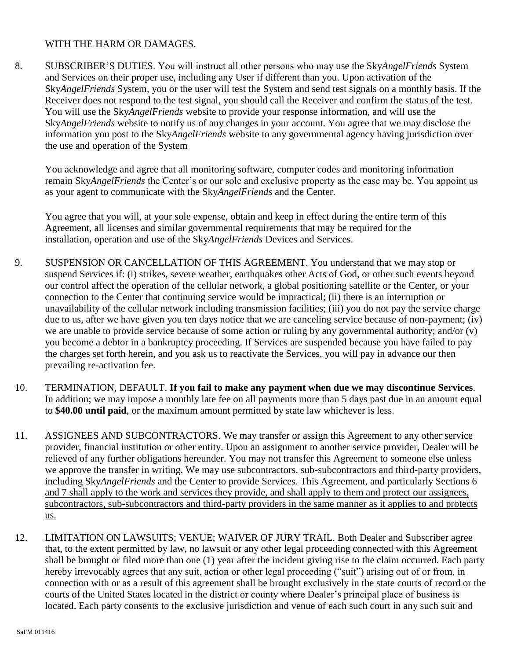### WITH THE HARM OR DAMAGES.

8. SUBSCRIBER'S DUTIES. You will instruct all other persons who may use the Sky*AngelFriends* System and Services on their proper use, including any User if different than you. Upon activation of the Sky*AngelFriends* System, you or the user will test the System and send test signals on a monthly basis. If the Receiver does not respond to the test signal, you should call the Receiver and confirm the status of the test. You will use the Sky*AngelFriends* website to provide your response information, and will use the Sky*AngelFriends* website to notify us of any changes in your account. You agree that we may disclose the information you post to the Sky*AngelFriends* website to any governmental agency having jurisdiction over the use and operation of the System

You acknowledge and agree that all monitoring software, computer codes and monitoring information remain Sky*AngelFriends* the Center's or our sole and exclusive property as the case may be. You appoint us as your agent to communicate with the Sky*AngelFriends* and the Center.

You agree that you will, at your sole expense, obtain and keep in effect during the entire term of this Agreement, all licenses and similar governmental requirements that may be required for the installation, operation and use of the Sky*AngelFriends* Devices and Services.

- 9. SUSPENSION OR CANCELLATION OF THIS AGREEMENT. You understand that we may stop or suspend Services if: (i) strikes, severe weather, earthquakes other Acts of God, or other such events beyond our control affect the operation of the cellular network, a global positioning satellite or the Center, or your connection to the Center that continuing service would be impractical; (ii) there is an interruption or unavailability of the cellular network including transmission facilities; (iii) you do not pay the service charge due to us, after we have given you ten days notice that we are canceling service because of non-payment; (iv) we are unable to provide service because of some action or ruling by any governmental authority; and/or (v) you become a debtor in a bankruptcy proceeding. If Services are suspended because you have failed to pay the charges set forth herein, and you ask us to reactivate the Services, you will pay in advance our then prevailing re-activation fee.
- 10. TERMINATION, DEFAULT. **If you fail to make any payment when due we may discontinue Services**. In addition; we may impose a monthly late fee on all payments more than 5 days past due in an amount equal to **\$40.00 until paid**, or the maximum amount permitted by state law whichever is less.
- 11. ASSIGNEES AND SUBCONTRACTORS. We may transfer or assign this Agreement to any other service provider, financial institution or other entity. Upon an assignment to another service provider, Dealer will be relieved of any further obligations hereunder. You may not transfer this Agreement to someone else unless we approve the transfer in writing. We may use subcontractors, sub-subcontractors and third-party providers, including Sky*AngelFriends* and the Center to provide Services. This Agreement, and particularly Sections 6 and 7 shall apply to the work and services they provide, and shall apply to them and protect our assignees, subcontractors, sub-subcontractors and third-party providers in the same manner as it applies to and protects us.
- 12. LIMITATION ON LAWSUITS; VENUE; WAIVER OF JURY TRAIL. Both Dealer and Subscriber agree that, to the extent permitted by law, no lawsuit or any other legal proceeding connected with this Agreement shall be brought or filed more than one (1) year after the incident giving rise to the claim occurred. Each party hereby irrevocably agrees that any suit, action or other legal proceeding ("suit") arising out of or from, in connection with or as a result of this agreement shall be brought exclusively in the state courts of record or the courts of the United States located in the district or county where Dealer's principal place of business is located. Each party consents to the exclusive jurisdiction and venue of each such court in any such suit and